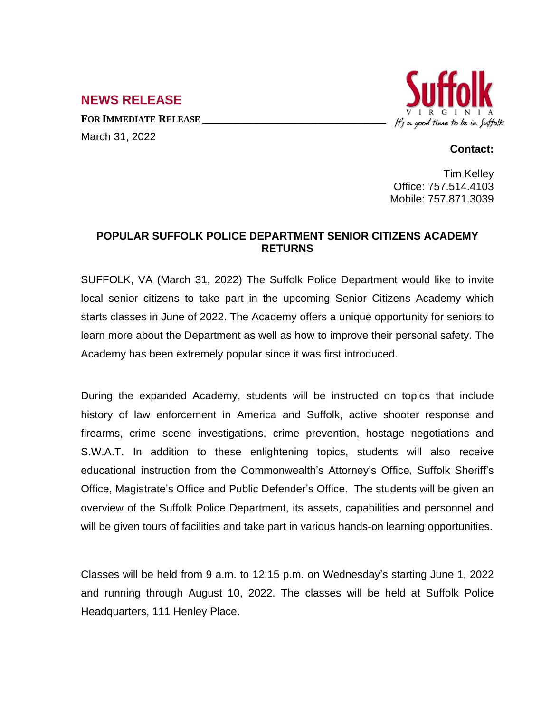**NEWS RELEASE**

**FOR IMMEDIATE RELEASE \_\_\_\_\_\_\_\_\_\_\_\_\_\_\_\_\_\_\_\_\_\_\_\_\_\_\_\_\_\_\_\_\_\_** March 31, 2022



## **Contact:**

Tim Kelley Office: 757.514.4103 Mobile: 757.871.3039

## **POPULAR SUFFOLK POLICE DEPARTMENT SENIOR CITIZENS ACADEMY RETURNS**

SUFFOLK, VA (March 31, 2022) The Suffolk Police Department would like to invite local senior citizens to take part in the upcoming Senior Citizens Academy which starts classes in June of 2022. The Academy offers a unique opportunity for seniors to learn more about the Department as well as how to improve their personal safety. The Academy has been extremely popular since it was first introduced.

During the expanded Academy, students will be instructed on topics that include history of law enforcement in America and Suffolk, active shooter response and firearms, crime scene investigations, crime prevention, hostage negotiations and S.W.A.T. In addition to these enlightening topics, students will also receive educational instruction from the Commonwealth's Attorney's Office, Suffolk Sheriff's Office, Magistrate's Office and Public Defender's Office. The students will be given an overview of the Suffolk Police Department, its assets, capabilities and personnel and will be given tours of facilities and take part in various hands-on learning opportunities.

Classes will be held from 9 a.m. to 12:15 p.m. on Wednesday's starting June 1, 2022 and running through August 10, 2022. The classes will be held at Suffolk Police Headquarters, 111 Henley Place.